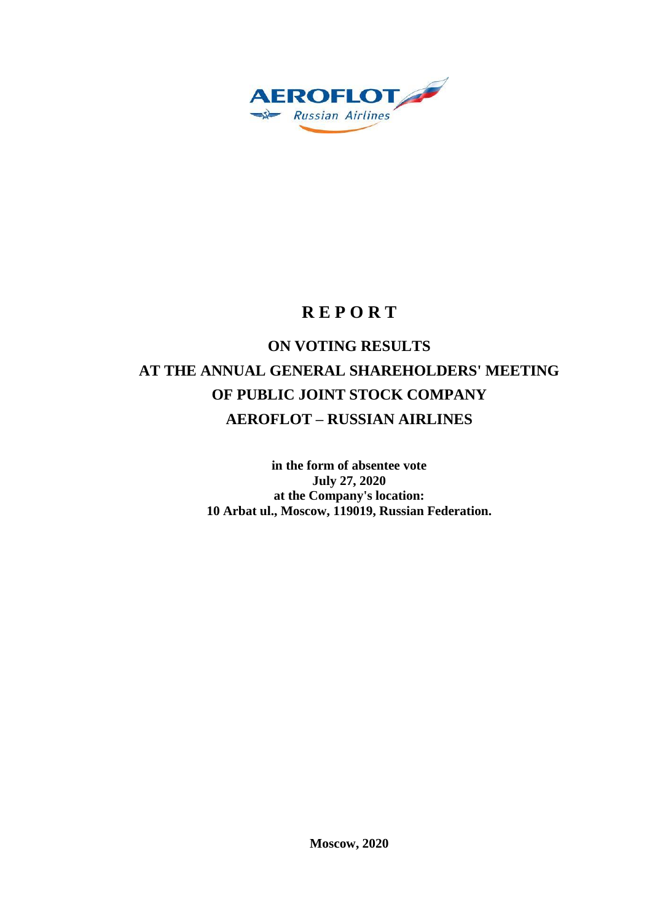

# **R E P O R T**

# **ON VOTING RESULTS AT THE ANNUAL GENERAL SHAREHOLDERS' MEETING OF PUBLIC JOINT STOCK COMPANY AEROFLOT – RUSSIAN AIRLINES**

**in the form of absentee vote July 27, 2020 at the Company's location: 10 Arbat ul., Moscow, 119019, Russian Federation.**

**Moscow, 2020**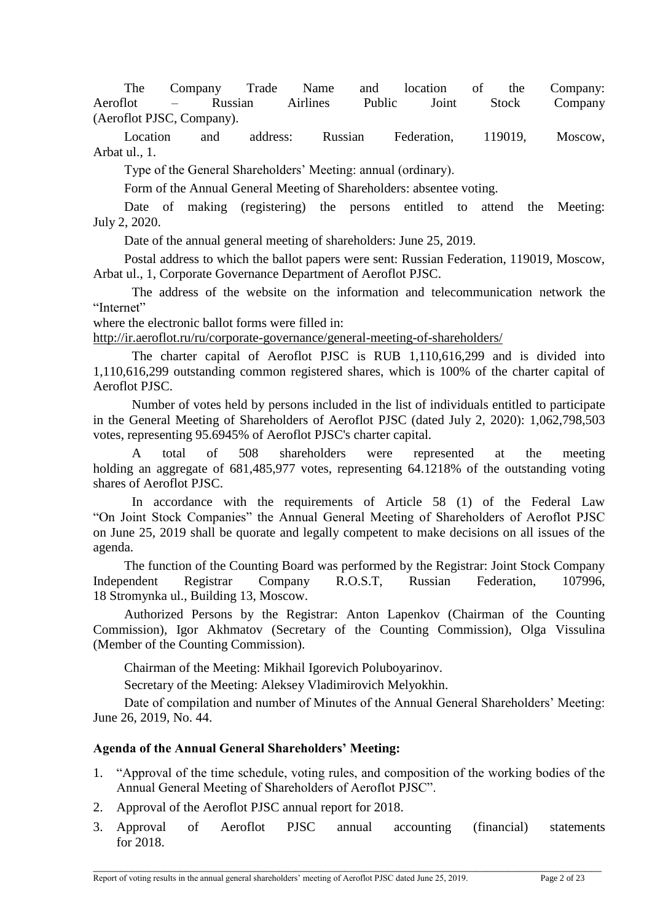The Company Trade Name and location of the Company: Aeroflot – Russian Airlines Public Joint Stock Company (Aeroflot PJSC, Company).

Location and address: Russian Federation, 119019, Moscow, Arbat ul., 1.

Type of the General Shareholders' Meeting: annual (ordinary).

Form of the Annual General Meeting of Shareholders: absentee voting.

Date of making (registering) the persons entitled to attend the Meeting: July 2, 2020.

Date of the annual general meeting of shareholders: June 25, 2019.

Postal address to which the ballot papers were sent: Russian Federation, 119019, Moscow, Arbat ul., 1, Corporate Governance Department of Aeroflot PJSC.

The address of the website on the information and telecommunication network the "Internet"

where the electronic ballot forms were filled in:

<http://ir.aeroflot.ru/ru/corporate-governance/general-meeting-of-shareholders/>

The charter capital of Aeroflot PJSC is RUB 1,110,616,299 and is divided into 1,110,616,299 outstanding common registered shares, which is 100% of the charter capital of Aeroflot PJSC.

Number of votes held by persons included in the list of individuals entitled to participate in the General Meeting of Shareholders of Aeroflot PJSC (dated July 2, 2020): 1,062,798,503 votes, representing 95.6945% of Aeroflot PJSC's charter capital.

A total of 508 shareholders were represented at the meeting holding an aggregate of 681,485,977 votes, representing 64.1218% of the outstanding voting shares of Aeroflot PJSC.

In accordance with the requirements of Article 58 (1) of the Federal Law "On Joint Stock Companies" the Annual General Meeting of Shareholders of Aeroflot PJSC on June 25, 2019 shall be quorate and legally competent to make decisions on all issues of the agenda.

The function of the Counting Board was performed by the Registrar: Joint Stock Company Independent Registrar Company R.O.S.T, Russian Federation, 107996, 18 Stromynka ul., Building 13, Moscow.

Authorized Persons by the Registrar: Anton Lapenkov (Chairman of the Counting Commission), Igor Akhmatov (Secretary of the Counting Commission), Olga Vissulina (Member of the Counting Commission).

Chairman of the Meeting: Mikhail Igorevich Poluboyarinov.

Secretary of the Meeting: Aleksey Vladimirovich Melyokhin.

Date of compilation and number of Minutes of the Annual General Shareholders' Meeting: June 26, 2019, No. 44.

# **Agenda of the Annual General Shareholders' Meeting:**

- 1. "Approval of the time schedule, voting rules, and composition of the working bodies of the Annual General Meeting of Shareholders of Aeroflot PJSC".
- 2. Approval of the Aeroflot PJSC annual report for 2018.
- 3. Approval of Aeroflot PJSC annual accounting (financial) statements for 2018.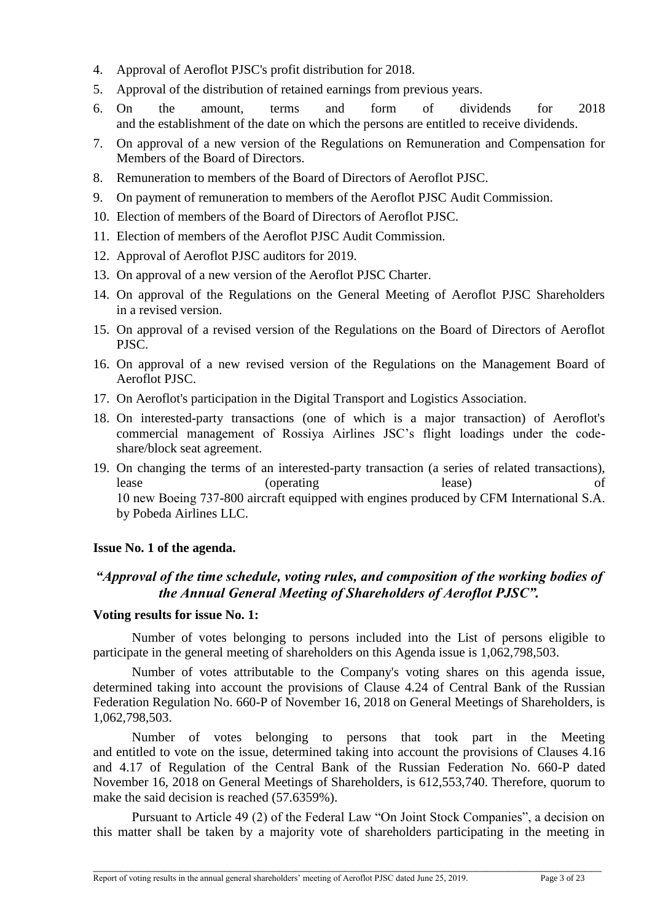- 4. Approval of Aeroflot PJSC's profit distribution for 2018.
- 5. Approval of the distribution of retained earnings from previous years.
- 6. On the amount, terms and form of dividends for 2018 and the establishment of the date on which the persons are entitled to receive dividends.
- 7. On approval of a new version of the Regulations on Remuneration and Compensation for Members of the Board of Directors.
- 8. Remuneration to members of the Board of Directors of Aeroflot PJSC.
- 9. On payment of remuneration to members of the Aeroflot PJSC Audit Commission.
- 10. Election of members of the Board of Directors of Aeroflot PJSC.
- 11. Election of members of the Aeroflot PJSC Audit Commission.
- 12. Approval of Aeroflot PJSC auditors for 2019.
- 13. On approval of a new version of the Aeroflot PJSC Charter.
- 14. On approval of the Regulations on the General Meeting of Aeroflot PJSC Shareholders in a revised version.
- 15. On approval of a revised version of the Regulations on the Board of Directors of Aeroflot PJSC.
- 16. On approval of a new revised version of the Regulations on the Management Board of Aeroflot PJSC.
- 17. On Aeroflot's participation in the Digital Transport and Logistics Association.
- 18. On interested-party transactions (one of which is a major transaction) of Aeroflot's commercial management of Rossiya Airlines JSC's flight loadings under the codeshare/block seat agreement.
- 19. On changing the terms of an interested-party transaction (a series of related transactions), lease (operating lease) of 10 new Вoeing 737-800 aircraft equipped with engines produced by CFM International S.A. by Pobeda Airlines LLC.

## **Issue No. 1 of the agenda.**

# *"Approval of the time schedule, voting rules, and composition of the working bodies of the Annual General Meeting of Shareholders of Aeroflot PJSC".*

## **Voting results for issue No. 1:**

Number of votes belonging to persons included into the List of persons eligible to participate in the general meeting of shareholders on this Agenda issue is 1,062,798,503.

Number of votes attributable to the Company's voting shares on this agenda issue, determined taking into account the provisions of Clause 4.24 of Central Bank of the Russian Federation Regulation No. 660-P of November 16, 2018 on General Meetings of Shareholders, is 1,062,798,503.

Number of votes belonging to persons that took part in the Meeting and entitled to vote on the issue, determined taking into account the provisions of Clauses 4.16 and 4.17 of Regulation of the Central Bank of the Russian Federation No. 660-P dated November 16, 2018 on General Meetings of Shareholders, is 612,553,740. Therefore, quorum to make the said decision is reached (57.6359%).

Pursuant to Article 49 (2) of the Federal Law "On Joint Stock Companies", a decision on this matter shall be taken by a majority vote of shareholders participating in the meeting in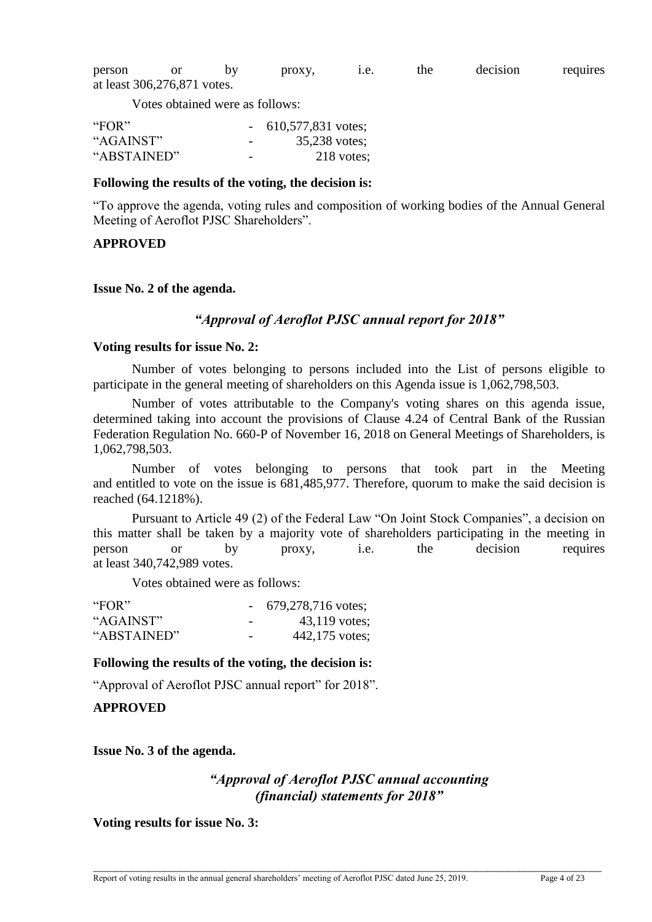person or by proxy, i.e. the decision requires at least 306,276,871 votes.

Votes obtained were as follows:

| "FOR"       |                          | 610,577,831 votes; |
|-------------|--------------------------|--------------------|
| "AGAINST"   | $\overline{\phantom{0}}$ | 35,238 votes;      |
| "ABSTAINED" | $\overline{\phantom{0}}$ | $218$ votes;       |

## **Following the results of the voting, the decision is:**

"To approve the agenda, voting rules and composition of working bodies of the Annual General Meeting of Aeroflot PJSC Shareholders".

## **APPROVED**

**Issue No. 2 of the agenda.**

# *"Approval of Aeroflot PJSC annual report for 2018"*

#### **Voting results for issue No. 2:**

Number of votes belonging to persons included into the List of persons eligible to participate in the general meeting of shareholders on this Agenda issue is 1,062,798,503.

Number of votes attributable to the Company's voting shares on this agenda issue, determined taking into account the provisions of Clause 4.24 of Central Bank of the Russian Federation Regulation No. 660-P of November 16, 2018 on General Meetings of Shareholders, is 1,062,798,503.

Number of votes belonging to persons that took part in the Meeting and entitled to vote on the issue is 681,485,977. Therefore, quorum to make the said decision is reached (64.1218%).

Pursuant to Article 49 (2) of the Federal Law "On Joint Stock Companies", a decision on this matter shall be taken by a majority vote of shareholders participating in the meeting in person or by proxy, i.e. the decision requires at least 340,742,989 votes.

Votes obtained were as follows:

| "FOR"       |                          | $-679,278,716 \text{ votes};$ |
|-------------|--------------------------|-------------------------------|
| "AGAINST"   | $\overline{\phantom{0}}$ | 43,119 votes:                 |
| "ABSTAINED" | $\overline{\phantom{0}}$ | 442,175 votes;                |

## **Following the results of the voting, the decision is:**

"Approval of Aeroflot PJSC annual report" for 2018".

## **APPROVED**

**Issue No. 3 of the agenda.**

# *"Approval of Aeroflot PJSC annual accounting (financial) statements for 2018"*

\_\_\_\_\_\_\_\_\_\_\_\_\_\_\_\_\_\_\_\_\_\_\_\_\_\_\_\_\_\_\_\_\_\_\_\_\_\_\_\_\_\_\_\_\_\_\_\_\_\_\_\_\_\_\_\_\_\_\_\_\_\_\_\_\_\_\_\_\_\_\_\_\_\_\_\_\_\_\_\_\_\_\_\_\_\_\_\_\_\_\_\_\_

**Voting results for issue No. 3:**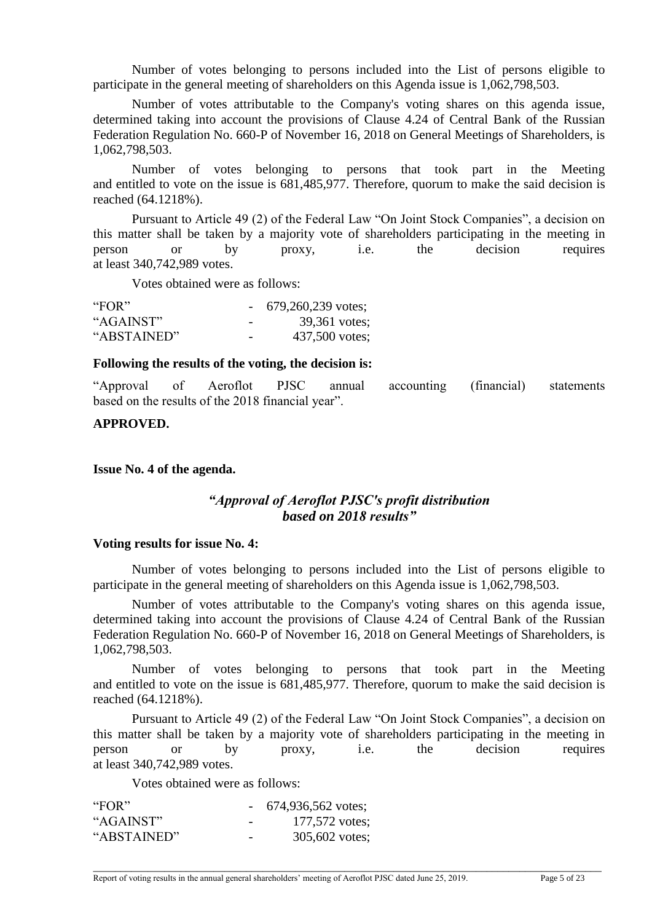Number of votes belonging to persons included into the List of persons eligible to participate in the general meeting of shareholders on this Agenda issue is 1,062,798,503.

Number of votes attributable to the Company's voting shares on this agenda issue, determined taking into account the provisions of Clause 4.24 of Central Bank of the Russian Federation Regulation No. 660-P of November 16, 2018 on General Meetings of Shareholders, is 1,062,798,503.

Number of votes belonging to persons that took part in the Meeting and entitled to vote on the issue is 681,485,977. Therefore, quorum to make the said decision is reached (64.1218%).

Pursuant to Article 49 (2) of the Federal Law "On Joint Stock Companies", a decision on this matter shall be taken by a majority vote of shareholders participating in the meeting in person or by proxy, i.e. the decision requires at least 340,742,989 votes.

Votes obtained were as follows:

| "FOR"       |                          | $-679,260,239$ votes; |
|-------------|--------------------------|-----------------------|
| "AGAINST"   | $\overline{\phantom{a}}$ | 39,361 votes;         |
| "ABSTAINED" | $\overline{\phantom{0}}$ | 437,500 votes;        |

#### **Following the results of the voting, the decision is:**

"Approval of Aeroflot PJSC annual accounting (financial) statements based on the results of the 2018 financial year".

#### **APPROVED.**

**Issue No. 4 of the agenda.**

# *"Approval of Aeroflot PJSC's profit distribution based on 2018 results"*

#### **Voting results for issue No. 4:**

Number of votes belonging to persons included into the List of persons eligible to participate in the general meeting of shareholders on this Agenda issue is 1,062,798,503.

Number of votes attributable to the Company's voting shares on this agenda issue, determined taking into account the provisions of Clause 4.24 of Central Bank of the Russian Federation Regulation No. 660-P of November 16, 2018 on General Meetings of Shareholders, is 1,062,798,503.

Number of votes belonging to persons that took part in the Meeting and entitled to vote on the issue is 681,485,977. Therefore, quorum to make the said decision is reached (64.1218%).

Pursuant to Article 49 (2) of the Federal Law "On Joint Stock Companies", a decision on this matter shall be taken by a majority vote of shareholders participating in the meeting in person or by proxy, i.e. the decision requires at least 340,742,989 votes.

\_\_\_\_\_\_\_\_\_\_\_\_\_\_\_\_\_\_\_\_\_\_\_\_\_\_\_\_\_\_\_\_\_\_\_\_\_\_\_\_\_\_\_\_\_\_\_\_\_\_\_\_\_\_\_\_\_\_\_\_\_\_\_\_\_\_\_\_\_\_\_\_\_\_\_\_\_\_\_\_\_\_\_\_\_\_\_\_\_\_\_\_\_

Votes obtained were as follows:

| "FOR"       |                          | $-674,936,562 \text{ votes};$ |
|-------------|--------------------------|-------------------------------|
| "AGAINST"   | $\overline{\phantom{0}}$ | 177,572 votes;                |
| "ABSTAINED" | -                        | $305,602$ votes;              |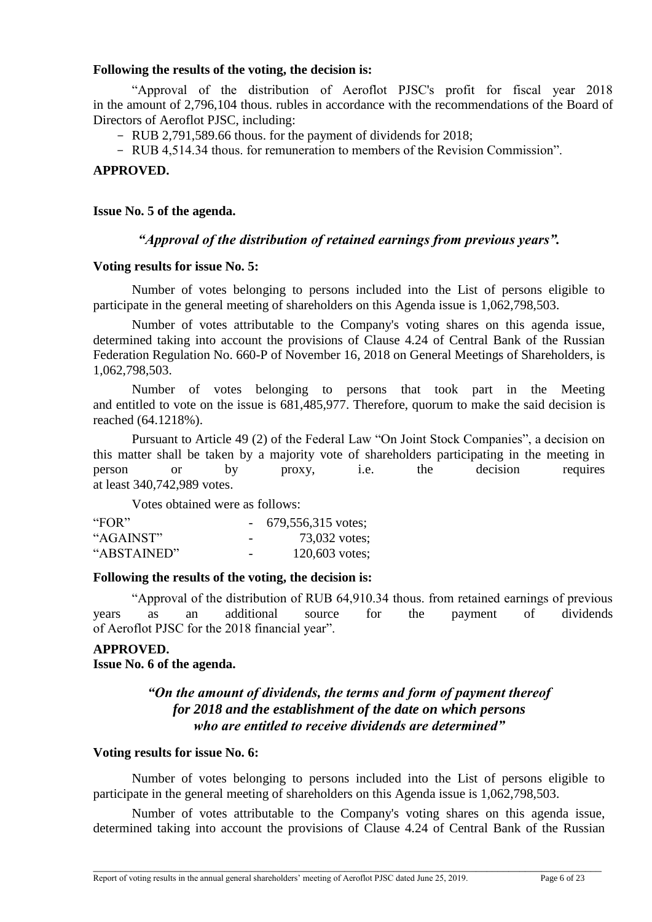## **Following the results of the voting, the decision is:**

"Approval of the distribution of Aeroflot PJSC's profit for fiscal year 2018 in the amount of 2,796,104 thous. rubles in accordance with the recommendations of the Board of Directors of Aeroflot PJSC, including:

- RUB 2,791,589.66 thous. for the payment of dividends for 2018;

- RUB 4,514.34 thous. for remuneration to members of the Revision Commission".

## **APPROVED.**

**Issue No. 5 of the agenda.**

## *"Approval of the distribution of retained earnings from previous years".*

## **Voting results for issue No. 5:**

Number of votes belonging to persons included into the List of persons eligible to participate in the general meeting of shareholders on this Agenda issue is 1,062,798,503.

Number of votes attributable to the Company's voting shares on this agenda issue, determined taking into account the provisions of Clause 4.24 of Central Bank of the Russian Federation Regulation No. 660-P of November 16, 2018 on General Meetings of Shareholders, is 1,062,798,503.

Number of votes belonging to persons that took part in the Meeting and entitled to vote on the issue is 681,485,977. Therefore, quorum to make the said decision is reached (64.1218%).

Pursuant to Article 49 (2) of the Federal Law "On Joint Stock Companies", a decision on this matter shall be taken by a majority vote of shareholders participating in the meeting in person or by proxy, i.e. the decision requires at least 340,742,989 votes.

Votes obtained were as follows:

| "FOR"       |                          | $-679,556,315$ votes; |
|-------------|--------------------------|-----------------------|
| "AGAINST"   | $\overline{\phantom{0}}$ | 73,032 votes;         |
| "ABSTAINED" | $\overline{\phantom{0}}$ | 120,603 votes;        |

#### **Following the results of the voting, the decision is:**

"Approval of the distribution of RUB 64,910.34 thous. from retained earnings of previous years as an additional source for the payment of dividends of Aeroflot PJSC for the 2018 financial year".

# **APPROVED.**

**Issue No. 6 of the agenda.**

# *"On the amount of dividends, the terms and form of payment thereof for 2018 and the establishment of the date on which persons who are entitled to receive dividends are determined"*

#### **Voting results for issue No. 6:**

Number of votes belonging to persons included into the List of persons eligible to participate in the general meeting of shareholders on this Agenda issue is 1,062,798,503.

Number of votes attributable to the Company's voting shares on this agenda issue, determined taking into account the provisions of Clause 4.24 of Central Bank of the Russian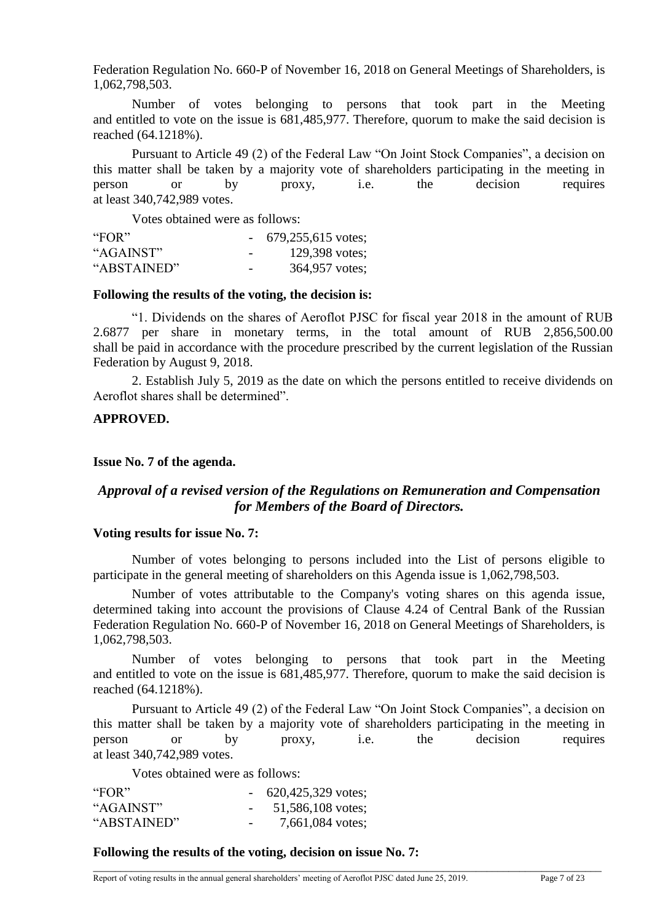Federation Regulation No. 660-P of November 16, 2018 on General Meetings of Shareholders, is 1,062,798,503.

Number of votes belonging to persons that took part in the Meeting and entitled to vote on the issue is 681,485,977. Therefore, quorum to make the said decision is reached (64.1218%).

Pursuant to Article 49 (2) of the Federal Law "On Joint Stock Companies", a decision on this matter shall be taken by a majority vote of shareholders participating in the meeting in person or by proxy, i.e. the decision requires at least 340,742,989 votes.

Votes obtained were as follows:

| "FOR"       |                          | $-679,255,615$ votes; |
|-------------|--------------------------|-----------------------|
| "AGAINST"   | $\overline{\phantom{0}}$ | 129,398 votes;        |
| "ABSTAINED" | $\overline{\phantom{a}}$ | 364,957 votes;        |

#### **Following the results of the voting, the decision is:**

"1. Dividends on the shares of Aeroflot PJSC for fiscal year 2018 in the amount of RUB 2.6877 per share in monetary terms, in the total amount of RUB 2,856,500.00 shall be paid in accordance with the procedure prescribed by the current legislation of the Russian Federation by August 9, 2018.

2. Establish July 5, 2019 as the date on which the persons entitled to receive dividends on Aeroflot shares shall be determined".

## **APPROVED.**

## **Issue No. 7 of the agenda.**

# *Approval of a revised version of the Regulations on Remuneration and Compensation for Members of the Board of Directors.*

## **Voting results for issue No. 7:**

Number of votes belonging to persons included into the List of persons eligible to participate in the general meeting of shareholders on this Agenda issue is 1,062,798,503.

Number of votes attributable to the Company's voting shares on this agenda issue, determined taking into account the provisions of Clause 4.24 of Central Bank of the Russian Federation Regulation No. 660-P of November 16, 2018 on General Meetings of Shareholders, is 1,062,798,503.

Number of votes belonging to persons that took part in the Meeting and entitled to vote on the issue is 681,485,977. Therefore, quorum to make the said decision is reached (64.1218%).

Pursuant to Article 49 (2) of the Federal Law "On Joint Stock Companies", a decision on this matter shall be taken by a majority vote of shareholders participating in the meeting in person or by proxy, i.e. the decision requires at least 340,742,989 votes.

\_\_\_\_\_\_\_\_\_\_\_\_\_\_\_\_\_\_\_\_\_\_\_\_\_\_\_\_\_\_\_\_\_\_\_\_\_\_\_\_\_\_\_\_\_\_\_\_\_\_\_\_\_\_\_\_\_\_\_\_\_\_\_\_\_\_\_\_\_\_\_\_\_\_\_\_\_\_\_\_\_\_\_\_\_\_\_\_\_\_\_\_\_

Votes obtained were as follows:

| "FOR"       |                          | 620,425,329 votes; |
|-------------|--------------------------|--------------------|
| "AGAINST"   |                          | 51,586,108 votes;  |
| "ABSTAINED" | $\overline{\phantom{a}}$ | 7,661,084 votes;   |

**Following the results of the voting, decision on issue No. 7:**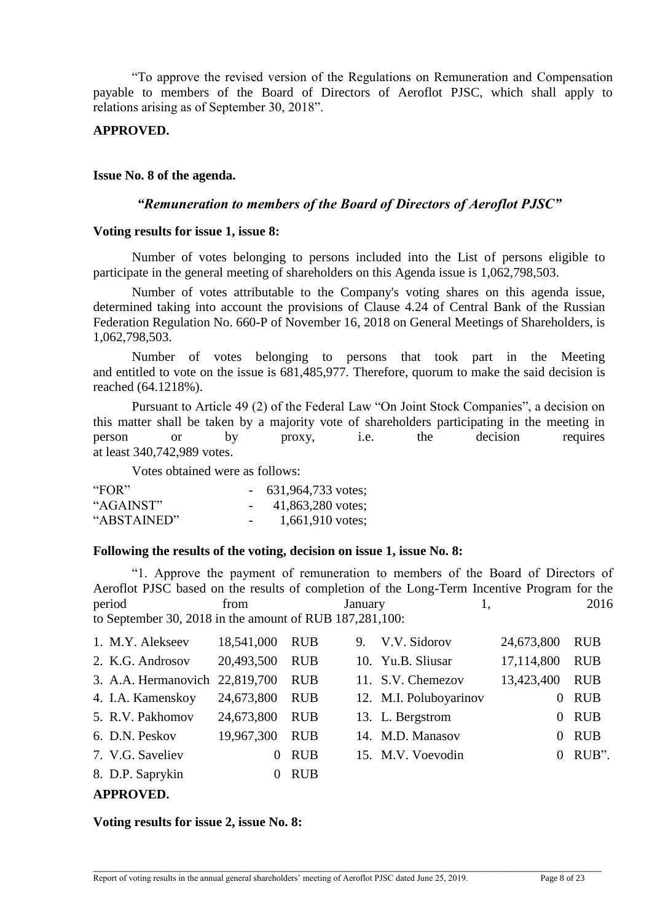"To approve the revised version of the Regulations on Remuneration and Compensation payable to members of the Board of Directors of Aeroflot PJSC, which shall apply to relations arising as of September 30, 2018".

## **APPROVED.**

## **Issue No. 8 of the agenda.**

## *"Remuneration to members of the Board of Directors of Aeroflot PJSC"*

#### **Voting results for issue 1, issue 8:**

Number of votes belonging to persons included into the List of persons eligible to participate in the general meeting of shareholders on this Agenda issue is 1,062,798,503.

Number of votes attributable to the Company's voting shares on this agenda issue, determined taking into account the provisions of Clause 4.24 of Central Bank of the Russian Federation Regulation No. 660-P of November 16, 2018 on General Meetings of Shareholders, is 1,062,798,503.

Number of votes belonging to persons that took part in the Meeting and entitled to vote on the issue is 681,485,977. Therefore, quorum to make the said decision is reached (64.1218%).

Pursuant to Article 49 (2) of the Federal Law "On Joint Stock Companies", a decision on this matter shall be taken by a majority vote of shareholders participating in the meeting in person or by proxy, i.e. the decision requires at least 340,742,989 votes.

Votes obtained were as follows:

| "FOR"       |                          | $-631,964,733$ votes; |
|-------------|--------------------------|-----------------------|
| "AGAINST"   | $-$                      | 41,863,280 votes;     |
| "ABSTAINED" | $\overline{\phantom{a}}$ | 1,661,910 votes;      |

#### **Following the results of the voting, decision on issue 1, issue No. 8:**

"1. Approve the payment of remuneration to members of the Board of Directors of Aeroflot PJSC based on the results of completion of the Long-Term Incentive Program for the period from January 1, 2016 to September 30, 2018 in the amount of RUB 187,281,100:

| 1. M.Y. Alekseev               | 18,541,000 | <b>RUB</b> | 9. V.V. Sidorov        | 24,673,800 | <b>RUB</b> |
|--------------------------------|------------|------------|------------------------|------------|------------|
| 2. K.G. Androsov               | 20,493,500 | <b>RUB</b> | 10. Yu.B. Sliusar      | 17,114,800 | <b>RUB</b> |
| 3. A.A. Hermanovich 22,819,700 |            | <b>RUB</b> | 11. S.V. Chemezov      | 13,423,400 | <b>RUB</b> |
| 4. I.A. Kamenskoy              | 24,673,800 | <b>RUB</b> | 12. M.I. Poluboyarinov |            | 0 RUB      |
| 5. R.V. Pakhomov               | 24,673,800 | <b>RUB</b> | 13. L. Bergstrom       |            | 0 RUB      |
| 6. D.N. Peskov                 | 19,967,300 | <b>RUB</b> | 14. M.D. Manasov       |            | 0 RUB      |
| 7. V.G. Saveliev               | $\Omega$   | <b>RUB</b> | 15. M.V. Voevodin      |            | $0$ RUB".  |
| 8. D.P. Saprykin               |            | 0 RUB      |                        |            |            |
| <b>APPROVED.</b>               |            |            |                        |            |            |

**Voting results for issue 2, issue No. 8:**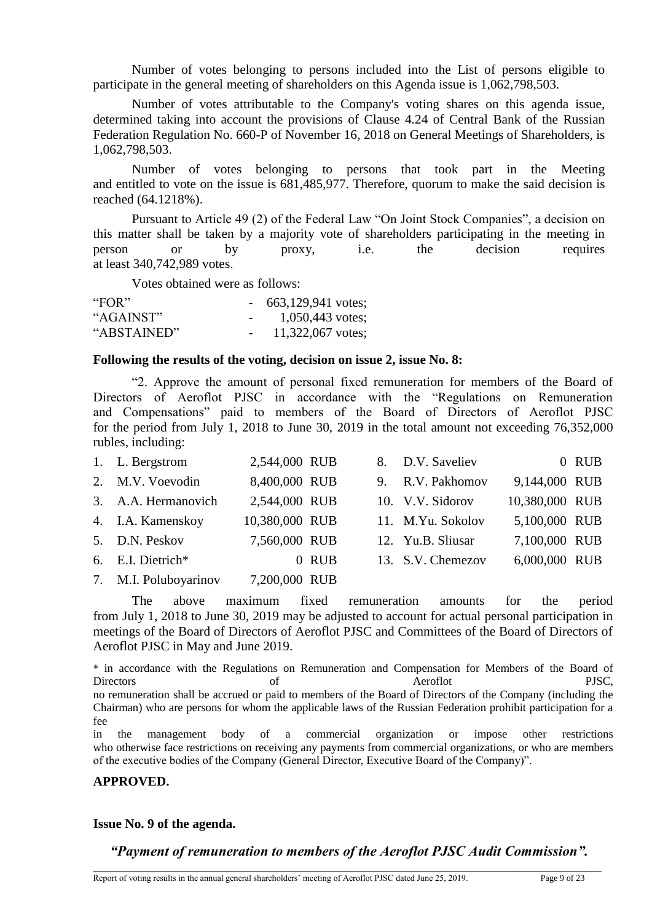Number of votes belonging to persons included into the List of persons eligible to participate in the general meeting of shareholders on this Agenda issue is 1,062,798,503.

Number of votes attributable to the Company's voting shares on this agenda issue, determined taking into account the provisions of Clause 4.24 of Central Bank of the Russian Federation Regulation No. 660-P of November 16, 2018 on General Meetings of Shareholders, is 1,062,798,503.

Number of votes belonging to persons that took part in the Meeting and entitled to vote on the issue is 681,485,977. Therefore, quorum to make the said decision is reached (64.1218%).

Pursuant to Article 49 (2) of the Federal Law "On Joint Stock Companies", a decision on this matter shall be taken by a majority vote of shareholders participating in the meeting in person or by proxy, i.e. the decision requires at least 340,742,989 votes.

Votes obtained were as follows:

| "FOR"       | 663,129,941 votes; |
|-------------|--------------------|
| "AGAINST"   | 1,050,443 votes;   |
| "ABSTAINED" | 11,322,067 votes;  |

#### **Following the results of the voting, decision on issue 2, issue No. 8:**

"2. Approve the amount of personal fixed remuneration for members of the Board of Directors of Aeroflot PJSC in accordance with the "Regulations on Remuneration and Compensations" paid to members of the Board of Directors of Aeroflot PJSC for the period from July 1, 2018 to June 30, 2019 in the total amount not exceeding 76,352,000 rubles, including:

| 1. L. Bergstrom       | 2,544,000 RUB  |       | 8. D.V. Saveliev  |                | 0 RUB |
|-----------------------|----------------|-------|-------------------|----------------|-------|
| 2. M.V. Voevodin      | 8,400,000 RUB  |       | 9. R.V. Pakhomov  | 9,144,000 RUB  |       |
| 3. A.A. Hermanovich   | 2,544,000 RUB  |       | 10. V.V. Sidorov  | 10,380,000 RUB |       |
| 4. I.A. Kamenskoy     | 10,380,000 RUB |       | 11. M.Yu. Sokolov | 5,100,000 RUB  |       |
| 5. D.N. Peskov        | 7,560,000 RUB  |       | 12. Yu.B. Sliusar | 7,100,000 RUB  |       |
| 6. E.I. Dietrich*     |                | 0 RUB | 13. S.V. Chemezov | 6,000,000 RUB  |       |
| 7. M.I. Poluboyarinov | 7,200,000 RUB  |       |                   |                |       |

The above maximum fixed remuneration amounts for the period from July 1, 2018 to June 30, 2019 may be adjusted to account for actual personal participation in meetings of the Board of Directors of Aeroflot PJSC and Committees of the Board of Directors of Aeroflot PJSC in May and June 2019.

\* in accordance with the Regulations on Remuneration and Compensation for Members of the Board of Directors of Aeroflot PJSC, no remuneration shall be accrued or paid to members of the Board of Directors of the Company (including the Chairman) who are persons for whom the applicable laws of the Russian Federation prohibit participation for a fee

in the management body of a commercial organization or impose other restrictions who otherwise face restrictions on receiving any payments from commercial organizations, or who are members of the executive bodies of the Company (General Director, Executive Board of the Company)".

#### **APPROVED.**

#### **Issue No. 9 of the agenda.**

\_\_\_\_\_\_\_\_\_\_\_\_\_\_\_\_\_\_\_\_\_\_\_\_\_\_\_\_\_\_\_\_\_\_\_\_\_\_\_\_\_\_\_\_\_\_\_\_\_\_\_\_\_\_\_\_\_\_\_\_\_\_\_\_\_\_\_\_\_\_\_\_\_\_\_\_\_\_\_\_\_\_\_\_\_\_\_\_\_\_\_\_\_ *"Payment of remuneration to members of the Aeroflot PJSC Audit Commission".*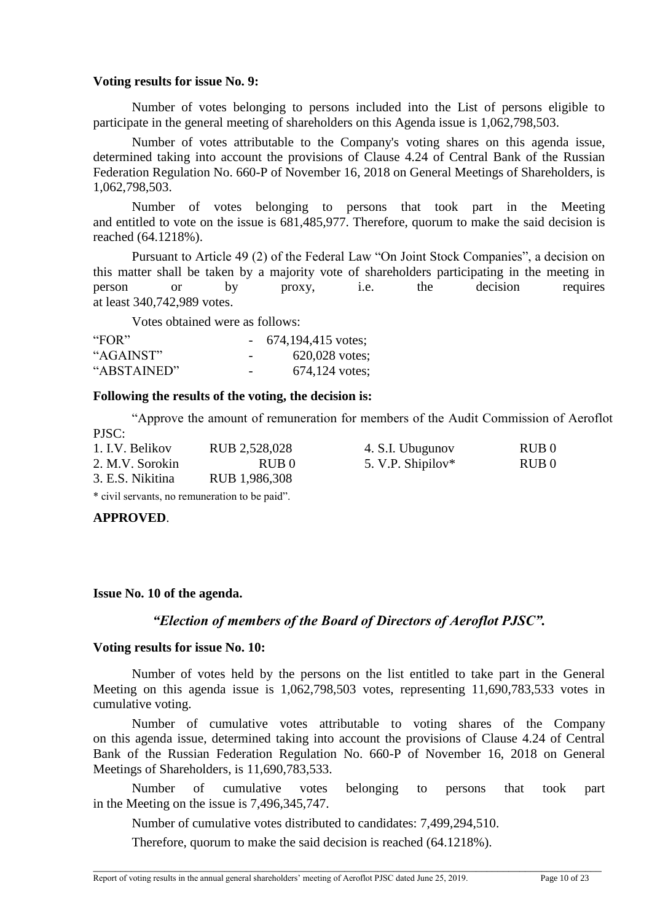## **Voting results for issue No. 9:**

Number of votes belonging to persons included into the List of persons eligible to participate in the general meeting of shareholders on this Agenda issue is 1,062,798,503.

Number of votes attributable to the Company's voting shares on this agenda issue, determined taking into account the provisions of Clause 4.24 of Central Bank of the Russian Federation Regulation No. 660-P of November 16, 2018 on General Meetings of Shareholders, is 1,062,798,503.

Number of votes belonging to persons that took part in the Meeting and entitled to vote on the issue is 681,485,977. Therefore, quorum to make the said decision is reached (64.1218%).

Pursuant to Article 49 (2) of the Federal Law "On Joint Stock Companies", a decision on this matter shall be taken by a majority vote of shareholders participating in the meeting in person or by proxy, i.e. the decision requires at least 340,742,989 votes.

Votes obtained were as follows:

| "FOR"       |                          | $-674,194,415$ votes; |
|-------------|--------------------------|-----------------------|
| "AGAINST"   | $\overline{\phantom{0}}$ | $620,028$ votes;      |
| "ABSTAINED" | $\overline{\phantom{0}}$ | $674,124$ votes;      |

## **Following the results of the voting, the decision is:**

"Approve the amount of remuneration for members of the Audit Commission of Aeroflot PJSC:

| 1. I.V. Belikov  | RUB 2,528,028    | 4. S.I. Ubugunov  | RUB <sub>0</sub> |
|------------------|------------------|-------------------|------------------|
| 2. M.V. Sorokin  | RUB <sub>0</sub> | 5. V.P. Shipilov* | RUB <sub>0</sub> |
| 3. E.S. Nikitina | RUB 1,986,308    |                   |                  |
|                  |                  |                   |                  |

\* civil servants, no remuneration to be paid".

## **APPROVED**.

**Issue No. 10 of the agenda.**

## *"Election of members of the Board of Directors of Aeroflot PJSC".*

#### **Voting results for issue No. 10:**

Number of votes held by the persons on the list entitled to take part in the General Meeting on this agenda issue is 1,062,798,503 votes, representing 11,690,783,533 votes in cumulative voting.

Number of cumulative votes attributable to voting shares of the Company on this agenda issue, determined taking into account the provisions of Clause 4.24 of Central Bank of the Russian Federation Regulation No. 660-P of November 16, 2018 on General Meetings of Shareholders, is 11,690,783,533.

Number of cumulative votes belonging to persons that took part in the Meeting on the issue is 7,496,345,747.

\_\_\_\_\_\_\_\_\_\_\_\_\_\_\_\_\_\_\_\_\_\_\_\_\_\_\_\_\_\_\_\_\_\_\_\_\_\_\_\_\_\_\_\_\_\_\_\_\_\_\_\_\_\_\_\_\_\_\_\_\_\_\_\_\_\_\_\_\_\_\_\_\_\_\_\_\_\_\_\_\_\_\_\_\_\_\_\_\_\_\_\_\_

Number of cumulative votes distributed to candidates: 7,499,294,510.

Therefore, quorum to make the said decision is reached (64.1218%).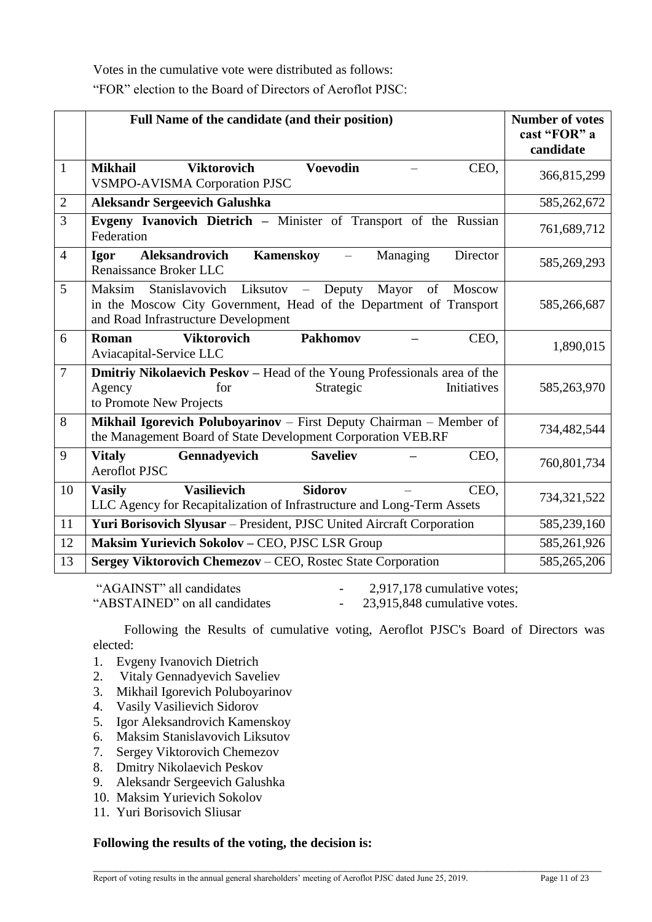Votes in the cumulative vote were distributed as follows:

"FOR" election to the Board of Directors of Aeroflot PJSC:

|                | Full Name of the candidate (and their position)                                                                                                                               | <b>Number of votes</b><br>cast "FOR" a<br>candidate |
|----------------|-------------------------------------------------------------------------------------------------------------------------------------------------------------------------------|-----------------------------------------------------|
| $\mathbf{1}$   | <b>Mikhail</b><br><b>Viktorovich</b><br><b>Voevodin</b><br>CEO,<br><b>VSMPO-AVISMA Corporation PJSC</b>                                                                       | 366,815,299                                         |
| $\overline{2}$ | <b>Aleksandr Sergeevich Galushka</b>                                                                                                                                          | 585,262,672                                         |
| 3              | Evgeny Ivanovich Dietrich - Minister of Transport of the Russian<br>Federation                                                                                                | 761,689,712                                         |
| $\overline{4}$ | Aleksandrovich<br><b>Kamenskoy</b><br>Managing<br>Director<br><b>Igor</b><br>$\equiv$<br>Renaissance Broker LLC                                                               | 585,269,293                                         |
| 5              | Maksim<br>Stanislavovich Liksutov - Deputy Mayor<br>of<br>Moscow<br>in the Moscow City Government, Head of the Department of Transport<br>and Road Infrastructure Development | 585,266,687                                         |
| 6              | <b>Viktorovich</b><br><b>Pakhomov</b><br>CEO,<br>Roman<br>Aviacapital-Service LLC                                                                                             | 1,890,015                                           |
| 7              | Dmitriy Nikolaevich Peskov - Head of the Young Professionals area of the<br>Agency<br>Initiatives<br>for<br>Strategic                                                         | 585,263,970                                         |
|                | to Promote New Projects                                                                                                                                                       |                                                     |
| 8              | Mikhail Igorevich Poluboyarinov - First Deputy Chairman - Member of<br>the Management Board of State Development Corporation VEB.RF                                           | 734,482,544                                         |
| 9              | <b>Vitaly</b><br><b>Saveliev</b><br>Gennadyevich<br>CEO,<br><b>Aeroflot PJSC</b>                                                                                              | 760,801,734                                         |
| 10             | <b>Sidorov</b><br><b>Vasilievich</b><br><b>Vasily</b><br>CEO.<br>LLC Agency for Recapitalization of Infrastructure and Long-Term Assets                                       | 734,321,522                                         |
| 11             | Yuri Borisovich Slyusar - President, PJSC United Aircraft Corporation                                                                                                         | 585,239,160                                         |
| 12             | Maksim Yurievich Sokolov - CEO, PJSC LSR Group                                                                                                                                | 585,261,926                                         |
| 13             | Sergey Viktorovich Chemezov - CEO, Rostec State Corporation                                                                                                                   | 585,265,206                                         |

"AGAINST" all candidates - 2,917,178 cumulative votes;

"ABSTAINED" on all candidates - 23,915,848 cumulative votes.

Following the Results of cumulative voting, Aeroflot PJSC's Board of Directors was elected:

- 1. Evgeny Ivanovich Dietrich
- 2. Vitaly Gennadyevich Saveliev
- 3. Mikhail Igorevich Poluboyarinov
- 4. Vasily Vasilievich Sidorov
- 5. Igor Aleksandrovich Kamenskoy
- 6. Maksim Stanislavovich Liksutov
- 7. Sergey Viktorovich Chemezov
- 8. Dmitry Nikolaevich Peskov
- 9. Aleksandr Sergeevich Galushka
- 10. Maksim Yurievich Sokolov
- 11. Yuri Borisovich Sliusar

# **Following the results of the voting, the decision is:**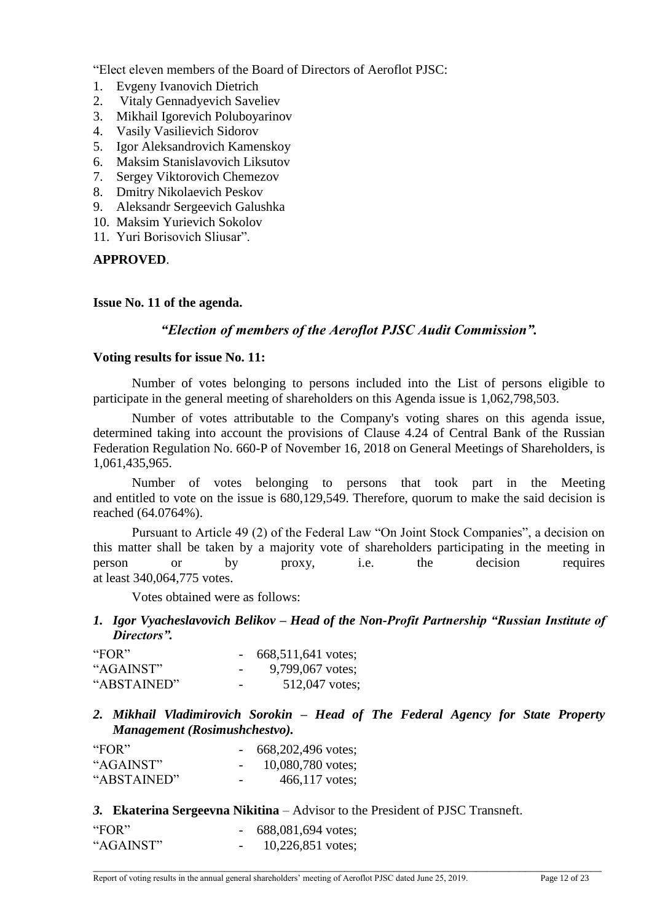"Elect eleven members of the Board of Directors of Aeroflot PJSC:

- 1. Evgeny Ivanovich Dietrich
- 2. Vitaly Gennadyevich Saveliev
- 3. Mikhail Igorevich Poluboyarinov
- 4. Vasily Vasilievich Sidorov
- 5. Igor Aleksandrovich Kamenskoy
- 6. Maksim Stanislavovich Liksutov
- 7. Sergey Viktorovich Chemezov
- 8. Dmitry Nikolaevich Peskov
- 9. Aleksandr Sergeevich Galushka
- 10. Maksim Yurievich Sokolov
- 11. Yuri Borisovich Sliusar".

## **APPROVED**.

## **Issue No. 11 of the agenda.**

## *"Election of members of the Aeroflot PJSC Audit Commission".*

## **Voting results for issue No. 11:**

Number of votes belonging to persons included into the List of persons eligible to participate in the general meeting of shareholders on this Agenda issue is 1,062,798,503.

Number of votes attributable to the Company's voting shares on this agenda issue, determined taking into account the provisions of Clause 4.24 of Central Bank of the Russian Federation Regulation No. 660-P of November 16, 2018 on General Meetings of Shareholders, is 1,061,435,965.

Number of votes belonging to persons that took part in the Meeting and entitled to vote on the issue is 680,129,549. Therefore, quorum to make the said decision is reached (64.0764%).

Pursuant to Article 49 (2) of the Federal Law "On Joint Stock Companies", a decision on this matter shall be taken by a majority vote of shareholders participating in the meeting in person or by proxy, i.e. the decision requires at least 340,064,775 votes.

Votes obtained were as follows:

*1. Igor Vyacheslavovich Belikov – Head of the Non-Profit Partnership "Russian Institute of Directors".*

| "FOR"       |                          | 668,511,641 votes; |
|-------------|--------------------------|--------------------|
| "AGAINST"   | $\overline{\phantom{0}}$ | 9,799,067 votes;   |
| "ABSTAINED" | $\overline{\phantom{0}}$ | 512,047 votes;     |

*2. Mikhail Vladimirovich Sorokin – Head of The Federal Agency for State Property Management (Rosimushchestvo).*

| "FOR"       |                          | 668,202,496 votes; |
|-------------|--------------------------|--------------------|
| "AGAINST"   |                          | 10,080,780 votes;  |
| "ABSTAINED" | $\overline{\phantom{0}}$ | $466,117$ votes;   |

*3.* **Ekaterina Sergeevna Nikitina** – Advisor to the President of PJSC Transneft.

| "FOR"     |                          | 688,081,694 votes;  |
|-----------|--------------------------|---------------------|
| "AGAINST" | $\overline{\phantom{0}}$ | $10,226,851$ votes; |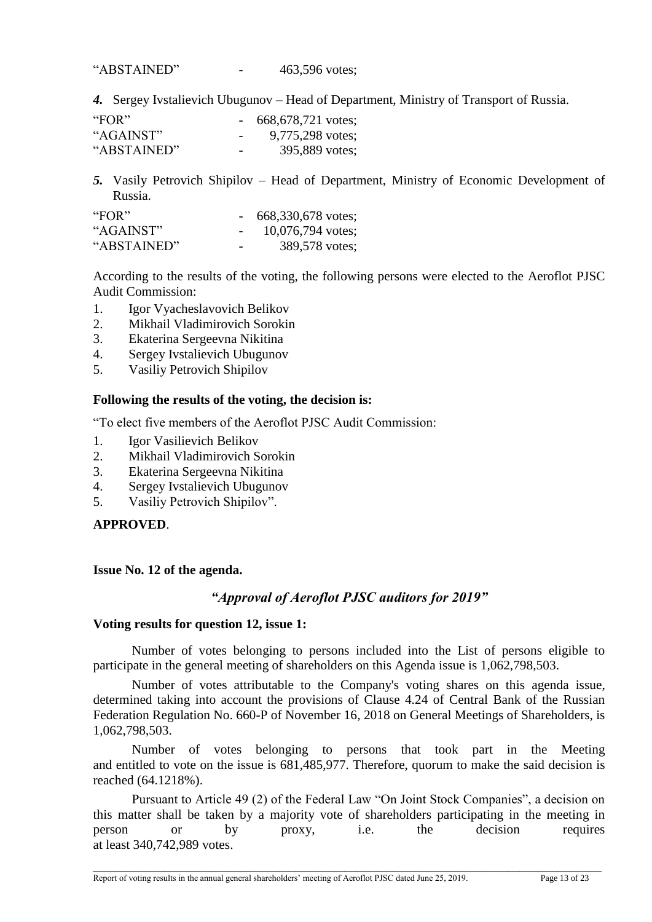"ABSTAINED" - 463,596 votes;

*4.* Sergey Ivstalievich Ubugunov – Head of Department, Ministry of Transport of Russia.

| "FOR"       |                          | 668, 678, 721 votes; |
|-------------|--------------------------|----------------------|
| "AGAINST"   | $\overline{\phantom{0}}$ | 9,775,298 votes;     |
| "ABSTAINED" | -                        | 395,889 votes;       |

*5.* Vasily Petrovich Shipilov – Head of Department, Ministry of Economic Development of Russia.

| "FOR"       |                          | 668,330,678 votes;  |
|-------------|--------------------------|---------------------|
| "AGAINST"   |                          | $10,076,794$ votes; |
| "ABSTAINED" | $\overline{\phantom{0}}$ | 389,578 votes;      |

According to the results of the voting, the following persons were elected to the Aeroflot PJSC Audit Commission:

- 1. Igor Vyacheslavovich Belikov
- 2. Mikhail Vladimirovich Sorokin
- 3. Ekaterina Sergeevna Nikitina
- 4. Sergey Ivstalievich Ubugunov
- 5. Vasiliy Petrovich Shipilov

## **Following the results of the voting, the decision is:**

"To elect five members of the Aeroflot PJSC Audit Commission:

- 1. Igor Vasilievich Belikov
- 2. Mikhail Vladimirovich Sorokin
- 3. Ekaterina Sergeevna Nikitina
- 4. Sergey Ivstalievich Ubugunov
- 5. Vasiliy Petrovich Shipilov".

## **APPROVED**.

## **Issue No. 12 of the agenda.**

## *"Approval of Aeroflot PJSC auditors for 2019"*

#### **Voting results for question 12, issue 1:**

Number of votes belonging to persons included into the List of persons eligible to participate in the general meeting of shareholders on this Agenda issue is 1,062,798,503.

Number of votes attributable to the Company's voting shares on this agenda issue, determined taking into account the provisions of Clause 4.24 of Central Bank of the Russian Federation Regulation No. 660-P of November 16, 2018 on General Meetings of Shareholders, is 1,062,798,503.

Number of votes belonging to persons that took part in the Meeting and entitled to vote on the issue is 681,485,977. Therefore, quorum to make the said decision is reached (64.1218%).

Pursuant to Article 49 (2) of the Federal Law "On Joint Stock Companies", a decision on this matter shall be taken by a majority vote of shareholders participating in the meeting in person or by proxy, i.e. the decision requires at least 340,742,989 votes.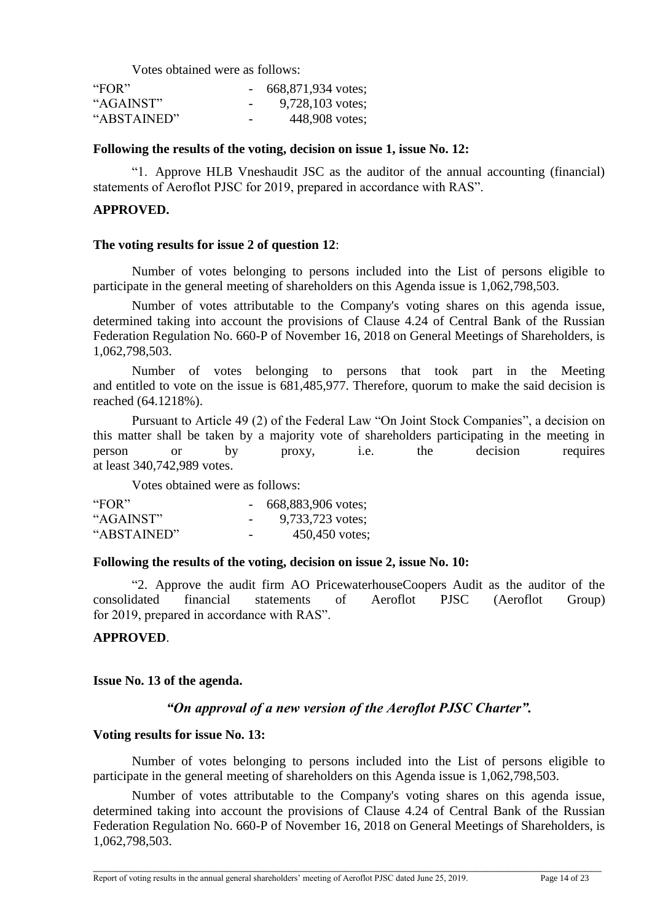Votes obtained were as follows:

| "FOR"       |                          | 668,871,934 votes; |
|-------------|--------------------------|--------------------|
| "AGAINST"   |                          | $9,728,103$ votes; |
| "ABSTAINED" | $\overline{\phantom{0}}$ | 448,908 votes;     |

#### **Following the results of the voting, decision on issue 1, issue No. 12:**

"1. Approve HLB Vneshaudit JSC as the auditor of the annual accounting (financial) statements of Aeroflot PJSC for 2019, prepared in accordance with RAS".

## **APPROVED.**

#### **The voting results for issue 2 of question 12**:

Number of votes belonging to persons included into the List of persons eligible to participate in the general meeting of shareholders on this Agenda issue is 1,062,798,503.

Number of votes attributable to the Company's voting shares on this agenda issue, determined taking into account the provisions of Clause 4.24 of Central Bank of the Russian Federation Regulation No. 660-P of November 16, 2018 on General Meetings of Shareholders, is 1,062,798,503.

Number of votes belonging to persons that took part in the Meeting and entitled to vote on the issue is 681,485,977. Therefore, quorum to make the said decision is reached (64.1218%).

Pursuant to Article 49 (2) of the Federal Law "On Joint Stock Companies", a decision on this matter shall be taken by a majority vote of shareholders participating in the meeting in person or by proxy, i.e. the decision requires at least 340,742,989 votes.

Votes obtained were as follows:

| "FOR"       |                          | 668,883,906 votes; |
|-------------|--------------------------|--------------------|
| "AGAINST"   | $\overline{\phantom{a}}$ | 9,733,723 votes;   |
| "ABSTAINED" | $\overline{\phantom{0}}$ | $450,450$ votes;   |

#### **Following the results of the voting, decision on issue 2, issue No. 10:**

"2. Approve the audit firm AO PricewaterhouseCoopers Audit as the auditor of the consolidated financial statements of Aeroflot PJSC (Aeroflot Group) for 2019, prepared in accordance with RAS".

#### **APPROVED**.

#### **Issue No. 13 of the agenda.**

#### *"On approval of a new version of the Aeroflot PJSC Charter".*

#### **Voting results for issue No. 13:**

Number of votes belonging to persons included into the List of persons eligible to participate in the general meeting of shareholders on this Agenda issue is 1,062,798,503.

Number of votes attributable to the Company's voting shares on this agenda issue, determined taking into account the provisions of Clause 4.24 of Central Bank of the Russian Federation Regulation No. 660-P of November 16, 2018 on General Meetings of Shareholders, is 1,062,798,503.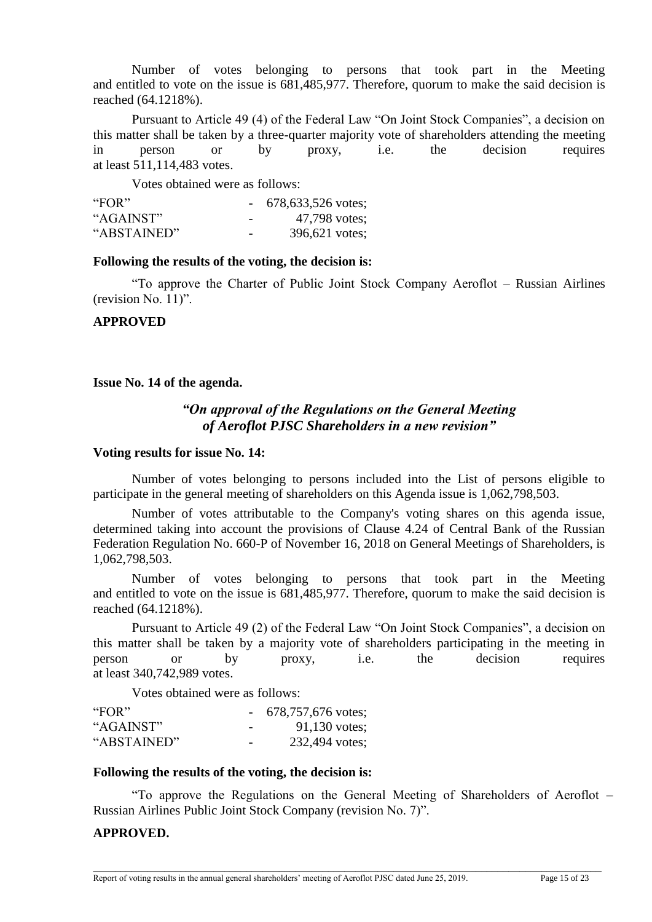Number of votes belonging to persons that took part in the Meeting and entitled to vote on the issue is 681,485,977. Therefore, quorum to make the said decision is reached (64.1218%).

Pursuant to Article 49 (4) of the Federal Law "On Joint Stock Companies", a decision on this matter shall be taken by a three-quarter majority vote of shareholders attending the meeting in person or by proxy, i.e. the decision requires at least 511,114,483 votes.

Votes obtained were as follows:

| "FOR"       |                          | $-678,633,526$ votes; |
|-------------|--------------------------|-----------------------|
| "AGAINST"   | $\overline{\phantom{0}}$ | 47,798 votes;         |
| "ABSTAINED" | $\overline{\phantom{0}}$ | 396,621 votes;        |

## **Following the results of the voting, the decision is:**

"To approve the Charter of Public Joint Stock Company Aeroflot – Russian Airlines (revision No. 11)".

## **APPROVED**

**Issue No. 14 of the agenda.** 

# *"On approval of the Regulations on the General Meeting of Aeroflot PJSC Shareholders in a new revision"*

## **Voting results for issue No. 14:**

Number of votes belonging to persons included into the List of persons eligible to participate in the general meeting of shareholders on this Agenda issue is 1,062,798,503.

Number of votes attributable to the Company's voting shares on this agenda issue, determined taking into account the provisions of Clause 4.24 of Central Bank of the Russian Federation Regulation No. 660-P of November 16, 2018 on General Meetings of Shareholders, is 1,062,798,503.

Number of votes belonging to persons that took part in the Meeting and entitled to vote on the issue is 681,485,977. Therefore, quorum to make the said decision is reached (64.1218%).

Pursuant to Article 49 (2) of the Federal Law "On Joint Stock Companies", a decision on this matter shall be taken by a majority vote of shareholders participating in the meeting in person or by proxy, i.e. the decision requires at least 340,742,989 votes.

Votes obtained were as follows:

| "FOR"       |                          | $-678,757,676$ votes; |
|-------------|--------------------------|-----------------------|
| "AGAINST"   | $\overline{\phantom{0}}$ | $91,130$ votes;       |
| "ABSTAINED" | $\overline{\phantom{0}}$ | 232,494 votes;        |

#### **Following the results of the voting, the decision is:**

"To approve the Regulations on the General Meeting of Shareholders of Aeroflot – Russian Airlines Public Joint Stock Company (revision No. 7)".

\_\_\_\_\_\_\_\_\_\_\_\_\_\_\_\_\_\_\_\_\_\_\_\_\_\_\_\_\_\_\_\_\_\_\_\_\_\_\_\_\_\_\_\_\_\_\_\_\_\_\_\_\_\_\_\_\_\_\_\_\_\_\_\_\_\_\_\_\_\_\_\_\_\_\_\_\_\_\_\_\_\_\_\_\_\_\_\_\_\_\_\_\_

## **APPROVED.**

Report of voting results in the annual general shareholders' meeting of Aeroflot PJSC dated June 25, 2019. Page 15 of 23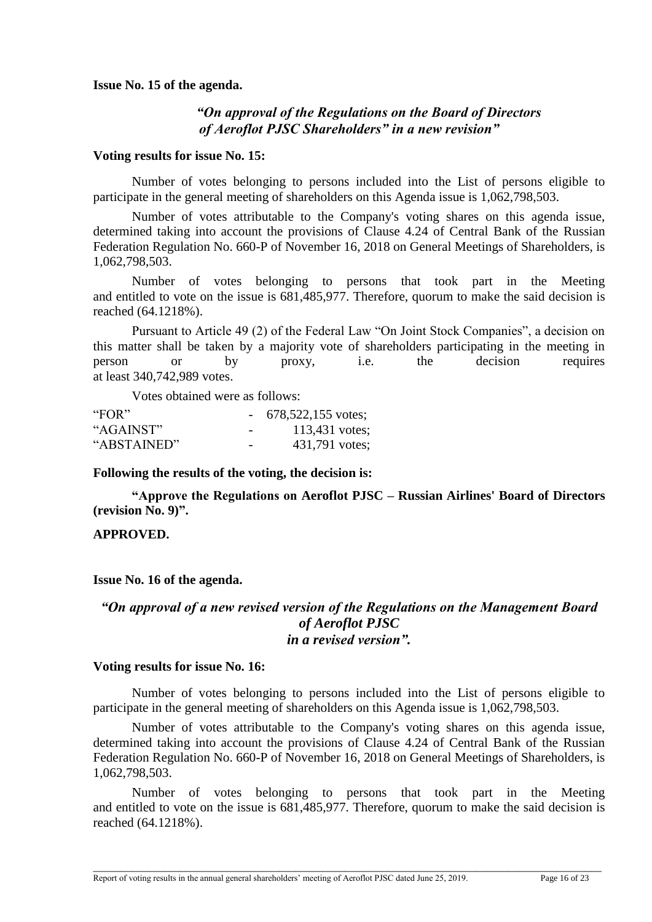**Issue No. 15 of the agenda.** 

# *"On approval of the Regulations on the Board of Directors of Aeroflot PJSC Shareholders" in a new revision"*

## **Voting results for issue No. 15:**

Number of votes belonging to persons included into the List of persons eligible to participate in the general meeting of shareholders on this Agenda issue is 1,062,798,503.

Number of votes attributable to the Company's voting shares on this agenda issue, determined taking into account the provisions of Clause 4.24 of Central Bank of the Russian Federation Regulation No. 660-P of November 16, 2018 on General Meetings of Shareholders, is 1,062,798,503.

Number of votes belonging to persons that took part in the Meeting and entitled to vote on the issue is 681,485,977. Therefore, quorum to make the said decision is reached (64.1218%).

Pursuant to Article 49 (2) of the Federal Law "On Joint Stock Companies", a decision on this matter shall be taken by a majority vote of shareholders participating in the meeting in person or by proxy, i.e. the decision requires at least 340,742,989 votes.

Votes obtained were as follows:

| "FOR"       |                          | $-678,522,155$ votes; |
|-------------|--------------------------|-----------------------|
| "AGAINST"   | $\overline{\phantom{0}}$ | 113,431 votes;        |
| "ABSTAINED" | $\overline{\phantom{0}}$ | 431,791 votes;        |

## **Following the results of the voting, the decision is:**

**"Approve the Regulations on Aeroflot PJSC – Russian Airlines' Board of Directors (revision No. 9)".**

## **APPROVED.**

## **Issue No. 16 of the agenda.**

# *"On approval of a new revised version of the Regulations on the Management Board of Aeroflot PJSC in a revised version".*

#### **Voting results for issue No. 16:**

Number of votes belonging to persons included into the List of persons eligible to participate in the general meeting of shareholders on this Agenda issue is 1,062,798,503.

Number of votes attributable to the Company's voting shares on this agenda issue, determined taking into account the provisions of Clause 4.24 of Central Bank of the Russian Federation Regulation No. 660-P of November 16, 2018 on General Meetings of Shareholders, is 1,062,798,503.

Number of votes belonging to persons that took part in the Meeting and entitled to vote on the issue is 681,485,977. Therefore, quorum to make the said decision is reached (64.1218%).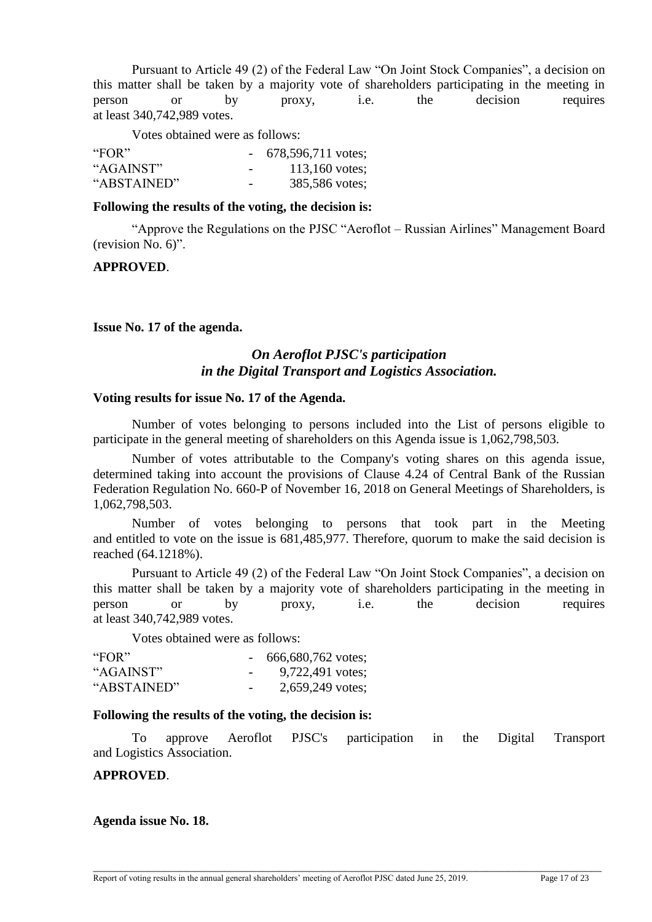Pursuant to Article 49 (2) of the Federal Law "On Joint Stock Companies", a decision on this matter shall be taken by a majority vote of shareholders participating in the meeting in person or by proxy, i.e. the decision requires at least 340,742,989 votes.

Votes obtained were as follows:

| "FOR"       |                          | $-678,596,711 \text{ votes};$ |
|-------------|--------------------------|-------------------------------|
| "AGAINST"   | $\overline{\phantom{0}}$ | 113,160 votes;                |
| "ABSTAINED" | $\overline{\phantom{0}}$ | 385,586 votes;                |

#### **Following the results of the voting, the decision is:**

"Approve the Regulations on the PJSC "Aeroflot – Russian Airlines" Management Board (revision No. 6)".

## **APPROVED**.

**Issue No. 17 of the agenda.**

# *On Aeroflot PJSC's participation in the Digital Transport and Logistics Association.*

#### **Voting results for issue No. 17 of the Agenda.**

Number of votes belonging to persons included into the List of persons eligible to participate in the general meeting of shareholders on this Agenda issue is 1,062,798,503.

Number of votes attributable to the Company's voting shares on this agenda issue, determined taking into account the provisions of Clause 4.24 of Central Bank of the Russian Federation Regulation No. 660-P of November 16, 2018 on General Meetings of Shareholders, is 1,062,798,503.

Number of votes belonging to persons that took part in the Meeting and entitled to vote on the issue is 681,485,977. Therefore, quorum to make the said decision is reached (64.1218%).

Pursuant to Article 49 (2) of the Federal Law "On Joint Stock Companies", a decision on this matter shall be taken by a majority vote of shareholders participating in the meeting in person or by proxy, i.e. the decision requires at least 340,742,989 votes.

Votes obtained were as follows:

| "FOR $"$    |                          | 666,680,762 votes; |
|-------------|--------------------------|--------------------|
| "AGAINST"   | $\sim$                   | 9,722,491 votes;   |
| "ABSTAINED" | $\overline{\phantom{a}}$ | 2,659,249 votes;   |

## **Following the results of the voting, the decision is:**

To approve Aeroflot PJSC's participation in the Digital Transport and Logistics Association.

# **APPROVED**.

#### **Agenda issue No. 18.**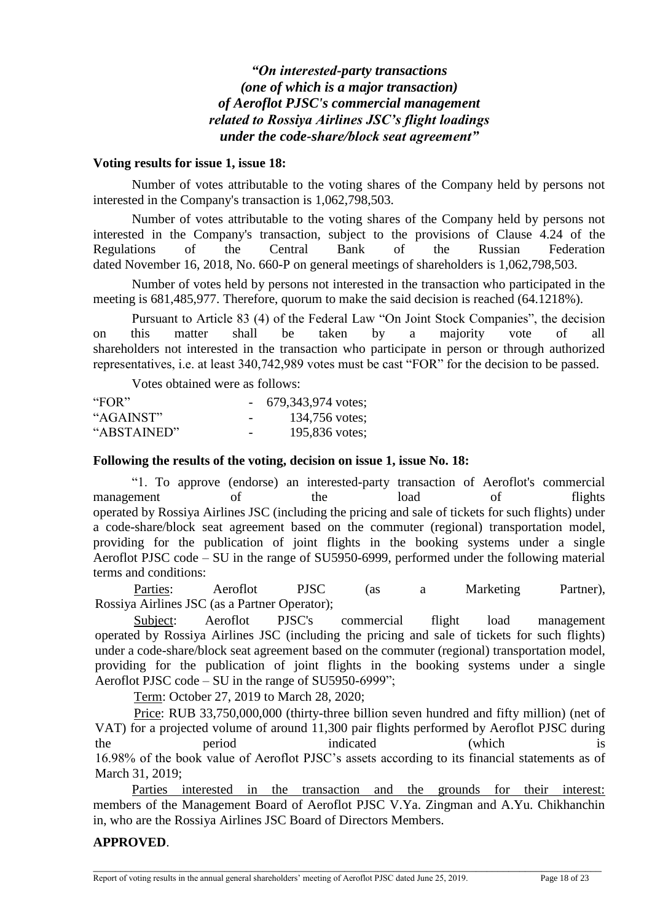# *"On interested-party transactions (one of which is a major transaction) of Aeroflot PJSC's commercial management related to Rossiya Airlines JSC's flight loadings under the code-share/block seat agreement"*

## **Voting results for issue 1, issue 18:**

Number of votes attributable to the voting shares of the Company held by persons not interested in the Company's transaction is 1,062,798,503.

Number of votes attributable to the voting shares of the Company held by persons not interested in the Company's transaction, subject to the provisions of Clause 4.24 of the Regulations of the Central Bank of the Russian Federation dated November 16, 2018, No. 660-P on general meetings of shareholders is 1,062,798,503.

Number of votes held by persons not interested in the transaction who participated in the meeting is 681,485,977. Therefore, quorum to make the said decision is reached (64.1218%).

Pursuant to Article 83 (4) of the Federal Law "On Joint Stock Companies", the decision on this matter shall be taken by a majority vote of all shareholders not interested in the transaction who participate in person or through authorized representatives, i.e. at least 340,742,989 votes must be cast "FOR" for the decision to be passed.

Votes obtained were as follows:

| "FOR"       |                          | 679,343,974 votes; |
|-------------|--------------------------|--------------------|
| "AGAINST"   | $\overline{\phantom{0}}$ | 134,756 votes;     |
| "ABSTAINED" | $\overline{\phantom{0}}$ | 195,836 votes;     |

## **Following the results of the voting, decision on issue 1, issue No. 18:**

"1. To approve (endorse) an interested-party transaction of Aeroflot's commercial management of the load of flights operated by Rossiya Airlines JSC (including the pricing and sale of tickets for such flights) under a code-share/block seat agreement based on the commuter (regional) transportation model, providing for the publication of joint flights in the booking systems under a single Aeroflot PJSC code – SU in the range of SU5950-6999, performed under the following material terms and conditions:

Parties: Aeroflot PJSC (as a Marketing Partner), Rossiya Airlines JSC (as a Partner Operator);

Subject: Aeroflot PJSC's commercial flight load management operated by Rossiya Airlines JSC (including the pricing and sale of tickets for such flights) under a code-share/block seat agreement based on the commuter (regional) transportation model, providing for the publication of joint flights in the booking systems under a single Aeroflot PJSC code – SU in the range of SU5950-6999";

Term: October 27, 2019 to March 28, 2020;

Price: RUB 33,750,000,000 (thirty-three billion seven hundred and fifty million) (net of VAT) for a projected volume of around 11,300 pair flights performed by Aeroflot PJSC during the period indicated (which is 16.98% of the book value of Aeroflot PJSC's assets according to its financial statements as of March 31, 2019;

Parties interested in the transaction and the grounds for their interest: members of the Management Board of Aeroflot PJSC V.Ya. Zingman and A.Yu. Chikhanchin in, who are the Rossiya Airlines JSC Board of Directors Members.

\_\_\_\_\_\_\_\_\_\_\_\_\_\_\_\_\_\_\_\_\_\_\_\_\_\_\_\_\_\_\_\_\_\_\_\_\_\_\_\_\_\_\_\_\_\_\_\_\_\_\_\_\_\_\_\_\_\_\_\_\_\_\_\_\_\_\_\_\_\_\_\_\_\_\_\_\_\_\_\_\_\_\_\_\_\_\_\_\_\_\_\_\_

# **APPROVED**.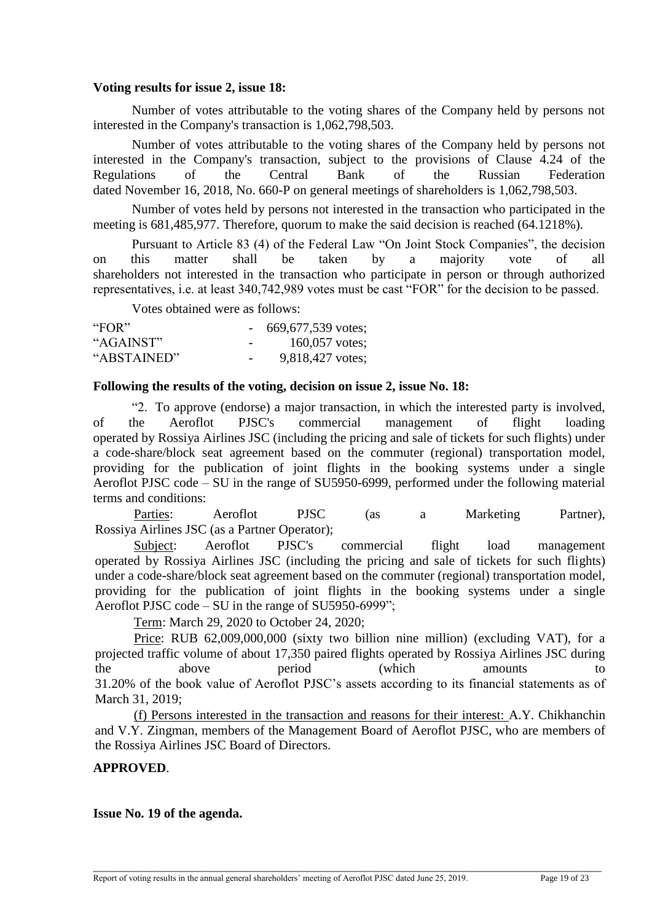## **Voting results for issue 2, issue 18:**

Number of votes attributable to the voting shares of the Company held by persons not interested in the Company's transaction is 1,062,798,503.

Number of votes attributable to the voting shares of the Company held by persons not interested in the Company's transaction, subject to the provisions of Clause 4.24 of the Regulations of the Central Bank of the Russian Federation dated November 16, 2018, No. 660-P on general meetings of shareholders is 1,062,798,503.

Number of votes held by persons not interested in the transaction who participated in the meeting is 681,485,977. Therefore, quorum to make the said decision is reached (64.1218%).

Pursuant to Article 83 (4) of the Federal Law "On Joint Stock Companies", the decision on this matter shall be taken by a majority vote of all shareholders not interested in the transaction who participate in person or through authorized representatives, i.e. at least 340,742,989 votes must be cast "FOR" for the decision to be passed.

Votes obtained were as follows:

| "FOR $"$    |                          | 669,677,539 votes; |
|-------------|--------------------------|--------------------|
| "AGAINST"   | $\overline{\phantom{a}}$ | 160,057 votes;     |
| "ABSTAINED" | $\overline{\phantom{a}}$ | 9,818,427 votes;   |

#### **Following the results of the voting, decision on issue 2, issue No. 18:**

"2. To approve (endorse) a major transaction, in which the interested party is involved, of the Aeroflot PJSC's commercial management of flight loading operated by Rossiya Airlines JSC (including the pricing and sale of tickets for such flights) under a code-share/block seat agreement based on the commuter (regional) transportation model, providing for the publication of joint flights in the booking systems under a single Aeroflot PJSC code – SU in the range of SU5950-6999, performed under the following material terms and conditions:

Parties: Aeroflot PJSC (as a Marketing Partner), Rossiya Airlines JSC (as a Partner Operator);

Subject: Aeroflot PJSC's commercial flight load management operated by Rossiya Airlines JSC (including the pricing and sale of tickets for such flights) under a code-share/block seat agreement based on the commuter (regional) transportation model, providing for the publication of joint flights in the booking systems under a single Aeroflot PJSC code – SU in the range of SU5950-6999";

Term: March 29, 2020 to October 24, 2020;

Price: RUB 62,009,000,000 (sixty two billion nine million) (excluding VAT), for a projected traffic volume of about 17,350 paired flights operated by Rossiya Airlines JSC during the above period (which amounts to 31.20% of the book value of Aeroflot PJSC's assets according to its financial statements as of March 31, 2019;

(f) Persons interested in the transaction and reasons for their interest: A.Y. Chikhanchin and V.Y. Zingman, members of the Management Board of Aeroflot PJSC, who are members of the Rossiya Airlines JSC Board of Directors.

\_\_\_\_\_\_\_\_\_\_\_\_\_\_\_\_\_\_\_\_\_\_\_\_\_\_\_\_\_\_\_\_\_\_\_\_\_\_\_\_\_\_\_\_\_\_\_\_\_\_\_\_\_\_\_\_\_\_\_\_\_\_\_\_\_\_\_\_\_\_\_\_\_\_\_\_\_\_\_\_\_\_\_\_\_\_\_\_\_\_\_\_\_

#### **APPROVED**.

**Issue No. 19 of the agenda.**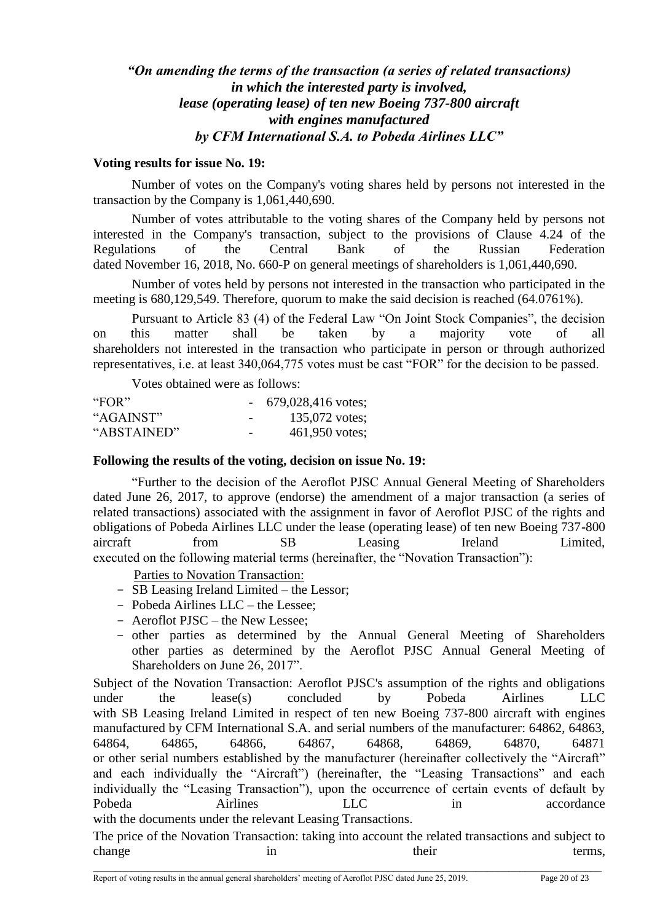# *"On amending the terms of the transaction (a series of related transactions) in which the interested party is involved, lease (operating lease) of ten new Boeing 737-800 aircraft with engines manufactured by CFM International S.A. to Pobeda Airlines LLC"*

## **Voting results for issue No. 19:**

Number of votes on the Company's voting shares held by persons not interested in the transaction by the Company is 1,061,440,690.

Number of votes attributable to the voting shares of the Company held by persons not interested in the Company's transaction, subject to the provisions of Clause 4.24 of the Regulations of the Central Bank of the Russian Federation dated November 16, 2018, No. 660-P on general meetings of shareholders is 1,061,440,690.

Number of votes held by persons not interested in the transaction who participated in the meeting is 680,129,549. Therefore, quorum to make the said decision is reached (64.0761%).

Pursuant to Article 83 (4) of the Federal Law "On Joint Stock Companies", the decision on this matter shall be taken by a majority vote of all shareholders not interested in the transaction who participate in person or through authorized representatives, i.e. at least 340,064,775 votes must be cast "FOR" for the decision to be passed.

Votes obtained were as follows:

| "FOR"       |                          | 679,028,416 votes; |
|-------------|--------------------------|--------------------|
| "AGAINST"   | $\overline{\phantom{0}}$ | 135,072 votes;     |
| "ABSTAINED" | $\overline{\phantom{0}}$ | 461,950 votes;     |

## **Following the results of the voting, decision on issue No. 19:**

"Further to the decision of the Aeroflot PJSC Annual General Meeting of Shareholders dated June 26, 2017, to approve (endorse) the amendment of a major transaction (a series of related transactions) associated with the assignment in favor of Aeroflot PJSC of the rights and obligations of Pobeda Airlines LLC under the lease (operating lease) of ten new Boeing 737-800 aircraft from SB Leasing Ireland Limited, executed on the following material terms (hereinafter, the "Novation Transaction"):

Parties to Novation Transaction:

- SB Leasing Ireland Limited the Lessor;
- Pobeda Airlines LLC the Lessee;
- Aeroflot PJSC the New Lessee;
- other parties as determined by the Annual General Meeting of Shareholders other parties as determined by the Aeroflot PJSC Annual General Meeting of Shareholders on June 26, 2017".

Subject of the Novation Transaction: Aeroflot PJSC's assumption of the rights and obligations under the lease(s) concluded by Pobeda Airlines LLC with SB Leasing Ireland Limited in respect of ten new Boeing 737-800 aircraft with engines manufactured by CFM International S.A. and serial numbers of the manufacturer: 64862, 64863, 64864, 64865, 64866, 64867, 64868, 64869, 64870, 64871 or other serial numbers established by the manufacturer (hereinafter collectively the "Aircraft" and each individually the "Aircraft") (hereinafter, the "Leasing Transactions" and each individually the "Leasing Transaction"), upon the occurrence of certain events of default by Pobeda Airlines LLC in accordance with the documents under the relevant Leasing Transactions.

The price of the Novation Transaction: taking into account the related transactions and subject to change in their terms,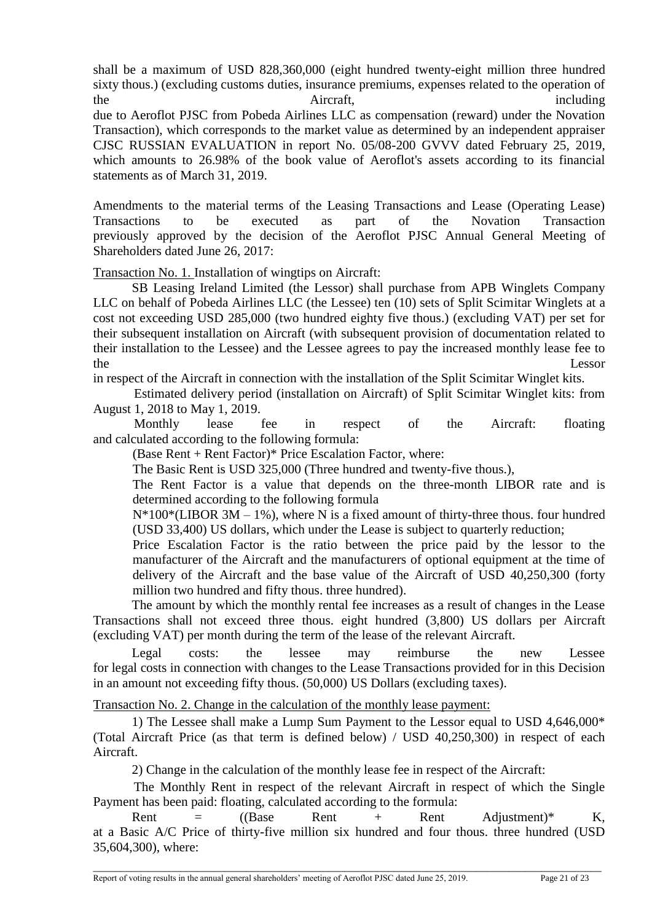shall be a maximum of USD 828,360,000 (eight hundred twenty-eight million three hundred sixty thous.) (excluding customs duties, insurance premiums, expenses related to the operation of the Aircraft,  $\frac{1}{2}$  Aircraft,  $\frac{1}{2}$  including due to Aeroflot PJSC from Pobeda Airlines LLC as compensation (reward) under the Novation Transaction), which corresponds to the market value as determined by an independent appraiser CJSC RUSSIAN EVALUATION in report No. 05/08-200 GVVV dated February 25, 2019, which amounts to 26.98% of the book value of Aeroflot's assets according to its financial statements as of March 31, 2019.

Amendments to the material terms of the Leasing Transactions and Lease (Operating Lease) Transactions to be executed as part of the Novation Transaction previously approved by the decision of the Aeroflot PJSC Annual General Meeting of Shareholders dated June 26, 2017:

Transaction No. 1. Installation of wingtips on Aircraft:

SB Leasing Ireland Limited (the Lessor) shall purchase from APB Winglets Company LLC on behalf of Pobeda Airlines LLC (the Lessee) ten (10) sets of Split Scimitar Winglets at a cost not exceeding USD 285,000 (two hundred eighty five thous.) (excluding VAT) per set for their subsequent installation on Aircraft (with subsequent provision of documentation related to their installation to the Lessee) and the Lessee agrees to pay the increased monthly lease fee to the Lessor

in respect of the Aircraft in connection with the installation of the Split Scimitar Winglet kits.

Estimated delivery period (installation on Aircraft) of Split Scimitar Winglet kits: from August 1, 2018 to May 1, 2019.

Monthly lease fee in respect of the Aircraft: floating and calculated according to the following formula:

(Base Rent + Rent Factor)\* Price Escalation Factor, where:

The Basic Rent is USD 325,000 (Three hundred and twenty-five thous.),

The Rent Factor is a value that depends on the three-month LIBOR rate and is determined according to the following formula

 $N*100*(LIBOR 3M – 1%)$ , where N is a fixed amount of thirty-three thous. four hundred (USD 33,400) US dollars, which under the Lease is subject to quarterly reduction;

Price Escalation Factor is the ratio between the price paid by the lessor to the manufacturer of the Aircraft and the manufacturers of optional equipment at the time of delivery of the Aircraft and the base value of the Aircraft of USD 40,250,300 (forty million two hundred and fifty thous. three hundred).

The amount by which the monthly rental fee increases as a result of changes in the Lease Transactions shall not exceed three thous. eight hundred (3,800) US dollars per Aircraft (excluding VAT) per month during the term of the lease of the relevant Aircraft.

Legal costs: the lessee may reimburse the new Lessee for legal costs in connection with changes to the Lease Transactions provided for in this Decision in an amount not exceeding fifty thous. (50,000) US Dollars (excluding taxes).

# Transaction No. 2. Change in the calculation of the monthly lease payment:

1) The Lessee shall make a Lump Sum Payment to the Lessor equal to USD 4,646,000\* (Total Aircraft Price (as that term is defined below) / USD 40,250,300) in respect of each Aircraft.

2) Change in the calculation of the monthly lease fee in respect of the Aircraft:

The Monthly Rent in respect of the relevant Aircraft in respect of which the Single Payment has been paid: floating, calculated according to the formula:

Rent  $=$   $((Base \t Rent + Rent \t Adjustment)* K,$ at a Basic A/C Price of thirty-five million six hundred and four thous. three hundred (USD 35,604,300), where: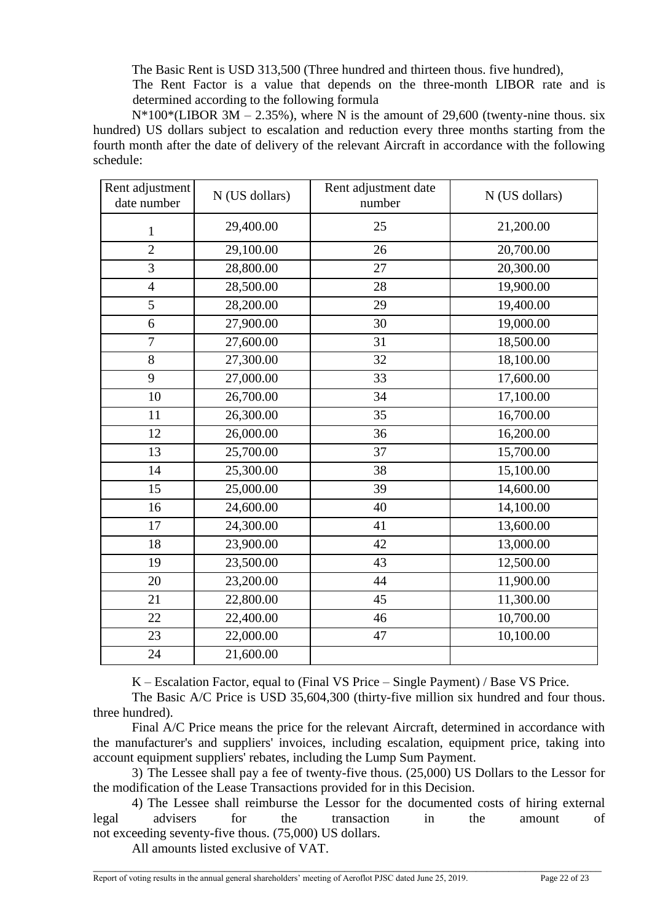The Basic Rent is USD 313,500 (Three hundred and thirteen thous. five hundred),

The Rent Factor is a value that depends on the three-month LIBOR rate and is determined according to the following formula

 $N*100*$ (LIBOR 3M – 2.35%), where N is the amount of 29,600 (twenty-nine thous, six hundred) US dollars subject to escalation and reduction every three months starting from the fourth month after the date of delivery of the relevant Aircraft in accordance with the following schedule:

| Rent adjustment<br>date number | N (US dollars) | Rent adjustment date<br>number | N (US dollars) |
|--------------------------------|----------------|--------------------------------|----------------|
| $\mathbf{1}$                   | 29,400.00      | 25                             | 21,200.00      |
| $\overline{2}$                 | 29,100.00      | 26                             | 20,700.00      |
| 3                              | 28,800.00      | 27                             | 20,300.00      |
| $\overline{4}$                 | 28,500.00      | 28                             | 19,900.00      |
| 5                              | 28,200.00      | 29                             | 19,400.00      |
| 6                              | 27,900.00      | 30                             | 19,000.00      |
| $\overline{7}$                 | 27,600.00      | 31                             | 18,500.00      |
| 8                              | 27,300.00      | 32                             | 18,100.00      |
| 9                              | 27,000.00      | 33                             | 17,600.00      |
| 10                             | 26,700.00      | 34                             | 17,100.00      |
| 11                             | 26,300.00      | 35                             | 16,700.00      |
| 12                             | 26,000.00      | 36                             | 16,200.00      |
| 13                             | 25,700.00      | 37                             | 15,700.00      |
| 14                             | 25,300.00      | 38                             | 15,100.00      |
| 15                             | 25,000.00      | 39                             | 14,600.00      |
| 16                             | 24,600.00      | 40                             | 14,100.00      |
| 17                             | 24,300.00      | 41                             | 13,600.00      |
| 18                             | 23,900.00      | 42                             | 13,000.00      |
| 19                             | 23,500.00      | 43                             | 12,500.00      |
| 20                             | 23,200.00      | 44                             | 11,900.00      |
| 21                             | 22,800.00      | 45                             | 11,300.00      |
| 22                             | 22,400.00      | 46                             | 10,700.00      |
| 23                             | 22,000.00      | 47                             | 10,100.00      |
| 24                             | 21,600.00      |                                |                |

K – Escalation Factor, equal to (Final VS Price – Single Payment) / Base VS Price.

The Basic A/C Price is USD 35,604,300 (thirty-five million six hundred and four thous. three hundred).

Final A/C Price means the price for the relevant Aircraft, determined in accordance with the manufacturer's and suppliers' invoices, including escalation, equipment price, taking into account equipment suppliers' rebates, including the Lump Sum Payment.

3) The Lessee shall pay a fee of twenty-five thous. (25,000) US Dollars to the Lessor for the modification of the Lease Transactions provided for in this Decision.

4) The Lessee shall reimburse the Lessor for the documented costs of hiring external legal advisers for the transaction in the amount of not exceeding seventy-five thous. (75,000) US dollars.

\_\_\_\_\_\_\_\_\_\_\_\_\_\_\_\_\_\_\_\_\_\_\_\_\_\_\_\_\_\_\_\_\_\_\_\_\_\_\_\_\_\_\_\_\_\_\_\_\_\_\_\_\_\_\_\_\_\_\_\_\_\_\_\_\_\_\_\_\_\_\_\_\_\_\_\_\_\_\_\_\_\_\_\_\_\_\_\_\_\_\_\_\_

All amounts listed exclusive of VAT.